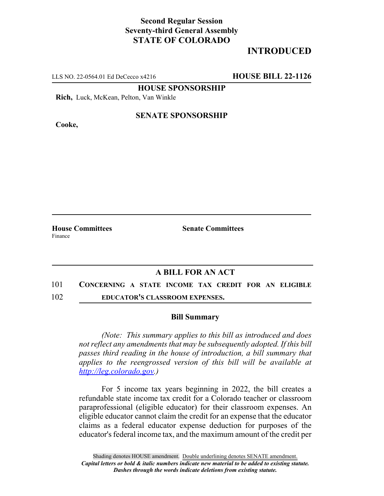# **Second Regular Session Seventy-third General Assembly STATE OF COLORADO**

# **INTRODUCED**

LLS NO. 22-0564.01 Ed DeCecco x4216 **HOUSE BILL 22-1126**

**HOUSE SPONSORSHIP**

**Rich,** Luck, McKean, Pelton, Van Winkle

**Cooke,**

### **SENATE SPONSORSHIP**

**House Committees Senate Committees** Finance

## **A BILL FOR AN ACT**

### 101 **CONCERNING A STATE INCOME TAX CREDIT FOR AN ELIGIBLE**

102 **EDUCATOR'S CLASSROOM EXPENSES.**

#### **Bill Summary**

*(Note: This summary applies to this bill as introduced and does not reflect any amendments that may be subsequently adopted. If this bill passes third reading in the house of introduction, a bill summary that applies to the reengrossed version of this bill will be available at http://leg.colorado.gov.)*

For 5 income tax years beginning in 2022, the bill creates a refundable state income tax credit for a Colorado teacher or classroom paraprofessional (eligible educator) for their classroom expenses. An eligible educator cannot claim the credit for an expense that the educator claims as a federal educator expense deduction for purposes of the educator's federal income tax, and the maximum amount of the credit per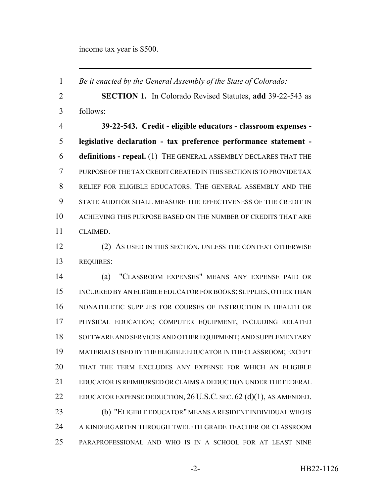income tax year is \$500.

 *Be it enacted by the General Assembly of the State of Colorado:* **SECTION 1.** In Colorado Revised Statutes, **add** 39-22-543 as follows: **39-22-543. Credit - eligible educators - classroom expenses - legislative declaration - tax preference performance statement - definitions - repeal.** (1) THE GENERAL ASSEMBLY DECLARES THAT THE PURPOSE OF THE TAX CREDIT CREATED IN THIS SECTION IS TO PROVIDE TAX RELIEF FOR ELIGIBLE EDUCATORS. THE GENERAL ASSEMBLY AND THE STATE AUDITOR SHALL MEASURE THE EFFECTIVENESS OF THE CREDIT IN ACHIEVING THIS PURPOSE BASED ON THE NUMBER OF CREDITS THAT ARE CLAIMED. (2) AS USED IN THIS SECTION, UNLESS THE CONTEXT OTHERWISE REQUIRES: (a) "CLASSROOM EXPENSES" MEANS ANY EXPENSE PAID OR INCURRED BY AN ELIGIBLE EDUCATOR FOR BOOKS; SUPPLIES, OTHER THAN NONATHLETIC SUPPLIES FOR COURSES OF INSTRUCTION IN HEALTH OR PHYSICAL EDUCATION; COMPUTER EQUIPMENT, INCLUDING RELATED 18 SOFTWARE AND SERVICES AND OTHER EQUIPMENT; AND SUPPLEMENTARY MATERIALS USED BY THE ELIGIBLE EDUCATOR IN THE CLASSROOM; EXCEPT THAT THE TERM EXCLUDES ANY EXPENSE FOR WHICH AN ELIGIBLE EDUCATOR IS REIMBURSED OR CLAIMS A DEDUCTION UNDER THE FEDERAL EDUCATOR EXPENSE DEDUCTION, 26 U.S.C. SEC. 62 (d)(1), AS AMENDED. (b) "ELIGIBLE EDUCATOR" MEANS A RESIDENT INDIVIDUAL WHO IS A KINDERGARTEN THROUGH TWELFTH GRADE TEACHER OR CLASSROOM PARAPROFESSIONAL AND WHO IS IN A SCHOOL FOR AT LEAST NINE